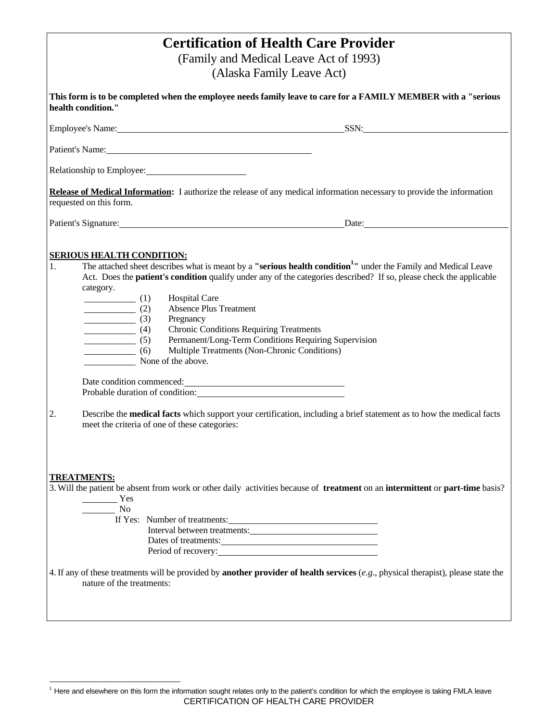| <b>Certification of Health Care Provider</b><br>(Family and Medical Leave Act of 1993)<br>(Alaska Family Leave Act)                                                                                                                                                                                                                                                                                                                                                                                                                                                                                                                                                                                                                                                                                                                                                                                                                                                                                                                                                                                                                             |  |  |  |  |
|-------------------------------------------------------------------------------------------------------------------------------------------------------------------------------------------------------------------------------------------------------------------------------------------------------------------------------------------------------------------------------------------------------------------------------------------------------------------------------------------------------------------------------------------------------------------------------------------------------------------------------------------------------------------------------------------------------------------------------------------------------------------------------------------------------------------------------------------------------------------------------------------------------------------------------------------------------------------------------------------------------------------------------------------------------------------------------------------------------------------------------------------------|--|--|--|--|
| This form is to be completed when the employee needs family leave to care for a FAMILY MEMBER with a "serious<br>health condition."                                                                                                                                                                                                                                                                                                                                                                                                                                                                                                                                                                                                                                                                                                                                                                                                                                                                                                                                                                                                             |  |  |  |  |
|                                                                                                                                                                                                                                                                                                                                                                                                                                                                                                                                                                                                                                                                                                                                                                                                                                                                                                                                                                                                                                                                                                                                                 |  |  |  |  |
| Patient's Name: 2008                                                                                                                                                                                                                                                                                                                                                                                                                                                                                                                                                                                                                                                                                                                                                                                                                                                                                                                                                                                                                                                                                                                            |  |  |  |  |
| Relationship to Employee: 2008. [2015] Relationship to Employee:                                                                                                                                                                                                                                                                                                                                                                                                                                                                                                                                                                                                                                                                                                                                                                                                                                                                                                                                                                                                                                                                                |  |  |  |  |
| Release of Medical Information: I authorize the release of any medical information necessary to provide the information<br>requested on this form.                                                                                                                                                                                                                                                                                                                                                                                                                                                                                                                                                                                                                                                                                                                                                                                                                                                                                                                                                                                              |  |  |  |  |
| Patient's Signature: Date: Date:                                                                                                                                                                                                                                                                                                                                                                                                                                                                                                                                                                                                                                                                                                                                                                                                                                                                                                                                                                                                                                                                                                                |  |  |  |  |
| <b>SERIOUS HEALTH CONDITION:</b><br>The attached sheet describes what is meant by a "serious health condition <sup>1</sup> " under the Family and Medical Leave<br>1.<br>Act. Does the <b>patient's condition</b> qualify under any of the categories described? If so, please check the applicable<br>category.<br><b>Hospital Care</b><br>$\qquad \qquad (1)$<br><b>Absence Plus Treatment</b><br>$\qquad \qquad (2)$<br>$\frac{\phantom{+}}{\phantom{+}}$ (3)<br>Pregnancy<br>$\frac{1}{\sqrt{1-\frac{1}{2}}}\left(4\right)$<br><b>Chronic Conditions Requiring Treatments</b><br>Permanent/Long-Term Conditions Requiring Supervision<br>$\overline{\qquad \qquad }$ (5)<br>Multiple Treatments (Non-Chronic Conditions)<br>$\qquad \qquad (6)$<br>None of the above.<br>Probable duration of condition: Note that the set of the set of the set of the set of the set of the set of the set of the set of the set of the set of the set of the set of the set of the set of the set of the set of the<br>2.<br>Describe the <b>medical facts</b> which support your certification, including a brief statement as to how the medical facts |  |  |  |  |
| meet the criteria of one of these categories:<br><b>TREATMENTS:</b><br>3. Will the patient be absent from work or other daily activities because of <b>treatment</b> on an <b>intermittent</b> or <b>part-time</b> basis?                                                                                                                                                                                                                                                                                                                                                                                                                                                                                                                                                                                                                                                                                                                                                                                                                                                                                                                       |  |  |  |  |
| $\frac{1}{\sqrt{1-\frac{1}{2}}\cos \theta}$ Yes<br>$\frac{1}{\sqrt{1-\frac{1}{2}}}\text{No}$<br>If Yes: Number of treatments:<br>Interval between treatments:<br>Dates of treatments:<br>Period of recovery:                                                                                                                                                                                                                                                                                                                                                                                                                                                                                                                                                                                                                                                                                                                                                                                                                                                                                                                                    |  |  |  |  |
| 4. If any of these treatments will be provided by <b>another provider of health services</b> (e.g., physical therapist), please state the<br>nature of the treatments:                                                                                                                                                                                                                                                                                                                                                                                                                                                                                                                                                                                                                                                                                                                                                                                                                                                                                                                                                                          |  |  |  |  |

CERTIFICATION OF HEALTH CARE PROVIDER -<sup>1</sup> Here and elsewhere on this form the information sought relates only to the patient's condition for which the employee is taking FMLA leave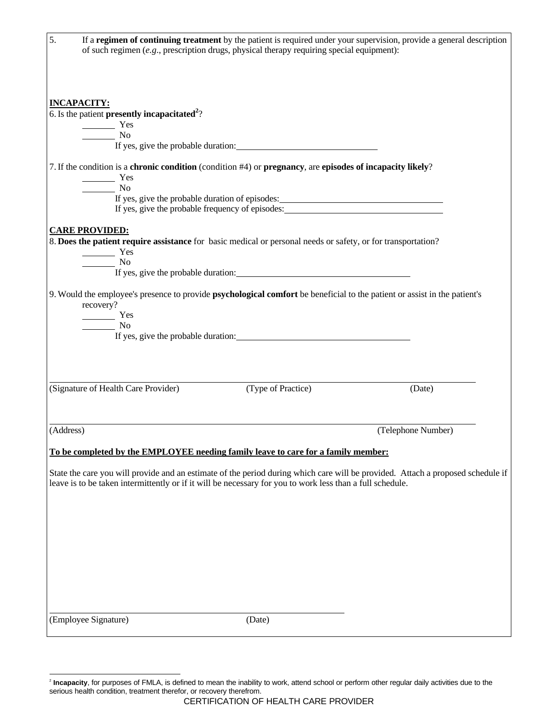|           | If a regimen of continuing treatment by the patient is required under your supervision, provide a general description<br>of such regimen $(e.g.,$ prescription drugs, physical therapy requiring special equipment):                                                                                                                                                                                                 |                                                                                                                                  |                                                                                                                                 |  |
|-----------|----------------------------------------------------------------------------------------------------------------------------------------------------------------------------------------------------------------------------------------------------------------------------------------------------------------------------------------------------------------------------------------------------------------------|----------------------------------------------------------------------------------------------------------------------------------|---------------------------------------------------------------------------------------------------------------------------------|--|
|           |                                                                                                                                                                                                                                                                                                                                                                                                                      |                                                                                                                                  |                                                                                                                                 |  |
|           | <b>INCAPACITY:</b>                                                                                                                                                                                                                                                                                                                                                                                                   |                                                                                                                                  |                                                                                                                                 |  |
|           | 6. Is the patient <b>presently incapacitated</b> <sup>2</sup> ?                                                                                                                                                                                                                                                                                                                                                      |                                                                                                                                  |                                                                                                                                 |  |
|           | $\frac{1}{\sqrt{1-\frac{1}{2}}\sqrt{1-\frac{1}{2}}\sqrt{1-\frac{1}{2}}\sqrt{1-\frac{1}{2}}\sqrt{1-\frac{1}{2}}\sqrt{1-\frac{1}{2}}\sqrt{1-\frac{1}{2}}\sqrt{1-\frac{1}{2}}\sqrt{1-\frac{1}{2}}\sqrt{1-\frac{1}{2}}\sqrt{1-\frac{1}{2}}\sqrt{1-\frac{1}{2}}\sqrt{1-\frac{1}{2}}\sqrt{1-\frac{1}{2}}\sqrt{1-\frac{1}{2}}\sqrt{1-\frac{1}{2}}\sqrt{1-\frac{1}{2}}\sqrt{1-\frac{1}{2}}\sqrt{1-\frac{1}{2}}\sqrt{1-\frac$ |                                                                                                                                  |                                                                                                                                 |  |
|           | $\frac{1}{\sqrt{1-\frac{1}{2}}}\text{No}$                                                                                                                                                                                                                                                                                                                                                                            |                                                                                                                                  |                                                                                                                                 |  |
|           |                                                                                                                                                                                                                                                                                                                                                                                                                      | 7. If the condition is a chronic condition (condition #4) or pregnancy, are episodes of incapacity likely?                       |                                                                                                                                 |  |
|           | Yes                                                                                                                                                                                                                                                                                                                                                                                                                  |                                                                                                                                  |                                                                                                                                 |  |
|           | $\frac{1}{\sqrt{1-\frac{1}{2}}}\text{No}$                                                                                                                                                                                                                                                                                                                                                                            |                                                                                                                                  |                                                                                                                                 |  |
|           |                                                                                                                                                                                                                                                                                                                                                                                                                      |                                                                                                                                  |                                                                                                                                 |  |
|           |                                                                                                                                                                                                                                                                                                                                                                                                                      | If yes, give the probable frequency of episodes:                                                                                 |                                                                                                                                 |  |
|           | <b>CARE PROVIDED:</b>                                                                                                                                                                                                                                                                                                                                                                                                |                                                                                                                                  |                                                                                                                                 |  |
|           |                                                                                                                                                                                                                                                                                                                                                                                                                      | 8. Does the patient require assistance for basic medical or personal needs or safety, or for transportation?                     |                                                                                                                                 |  |
|           | $\frac{1}{1}$ Yes                                                                                                                                                                                                                                                                                                                                                                                                    |                                                                                                                                  |                                                                                                                                 |  |
|           | $\frac{1}{\sqrt{1-\frac{1}{2}}}\sqrt{1-\frac{1}{2}}$                                                                                                                                                                                                                                                                                                                                                                 |                                                                                                                                  |                                                                                                                                 |  |
|           |                                                                                                                                                                                                                                                                                                                                                                                                                      |                                                                                                                                  |                                                                                                                                 |  |
|           |                                                                                                                                                                                                                                                                                                                                                                                                                      | 9. Would the employee's presence to provide <b>psychological comfort</b> be beneficial to the patient or assist in the patient's |                                                                                                                                 |  |
|           | recovery?                                                                                                                                                                                                                                                                                                                                                                                                            |                                                                                                                                  |                                                                                                                                 |  |
|           | $T$ es                                                                                                                                                                                                                                                                                                                                                                                                               |                                                                                                                                  |                                                                                                                                 |  |
|           | $\frac{1}{\sqrt{1-\frac{1}{2}}}\sqrt{1-\frac{1}{2}}$                                                                                                                                                                                                                                                                                                                                                                 |                                                                                                                                  |                                                                                                                                 |  |
|           |                                                                                                                                                                                                                                                                                                                                                                                                                      |                                                                                                                                  |                                                                                                                                 |  |
|           |                                                                                                                                                                                                                                                                                                                                                                                                                      |                                                                                                                                  |                                                                                                                                 |  |
|           |                                                                                                                                                                                                                                                                                                                                                                                                                      |                                                                                                                                  |                                                                                                                                 |  |
|           | (Signature of Health Care Provider)                                                                                                                                                                                                                                                                                                                                                                                  | (Type of Practice)                                                                                                               | (Date)                                                                                                                          |  |
|           |                                                                                                                                                                                                                                                                                                                                                                                                                      |                                                                                                                                  |                                                                                                                                 |  |
| (Address) |                                                                                                                                                                                                                                                                                                                                                                                                                      |                                                                                                                                  | (Telephone Number)                                                                                                              |  |
|           |                                                                                                                                                                                                                                                                                                                                                                                                                      | To be completed by the EMPLOYEE needing family leave to care for a family member:                                                |                                                                                                                                 |  |
|           |                                                                                                                                                                                                                                                                                                                                                                                                                      |                                                                                                                                  |                                                                                                                                 |  |
|           |                                                                                                                                                                                                                                                                                                                                                                                                                      |                                                                                                                                  | State the care you will provide and an estimate of the period during which care will be provided. Attach a proposed schedule if |  |
|           |                                                                                                                                                                                                                                                                                                                                                                                                                      | leave is to be taken intermittently or if it will be necessary for you to work less than a full schedule.                        |                                                                                                                                 |  |
|           |                                                                                                                                                                                                                                                                                                                                                                                                                      |                                                                                                                                  |                                                                                                                                 |  |
|           |                                                                                                                                                                                                                                                                                                                                                                                                                      |                                                                                                                                  |                                                                                                                                 |  |
|           |                                                                                                                                                                                                                                                                                                                                                                                                                      |                                                                                                                                  |                                                                                                                                 |  |
|           |                                                                                                                                                                                                                                                                                                                                                                                                                      |                                                                                                                                  |                                                                                                                                 |  |
|           |                                                                                                                                                                                                                                                                                                                                                                                                                      |                                                                                                                                  |                                                                                                                                 |  |
|           |                                                                                                                                                                                                                                                                                                                                                                                                                      |                                                                                                                                  |                                                                                                                                 |  |
|           |                                                                                                                                                                                                                                                                                                                                                                                                                      |                                                                                                                                  |                                                                                                                                 |  |
|           |                                                                                                                                                                                                                                                                                                                                                                                                                      |                                                                                                                                  |                                                                                                                                 |  |
|           |                                                                                                                                                                                                                                                                                                                                                                                                                      |                                                                                                                                  |                                                                                                                                 |  |
|           |                                                                                                                                                                                                                                                                                                                                                                                                                      |                                                                                                                                  |                                                                                                                                 |  |
|           | (Employee Signature)                                                                                                                                                                                                                                                                                                                                                                                                 | (Date)                                                                                                                           |                                                                                                                                 |  |

 2 **Incapacity**, for purposes of FMLA, is defined to mean the inability to work, attend school or perform other regular daily activities due to the serious health condition, treatment therefor, or recovery therefrom.